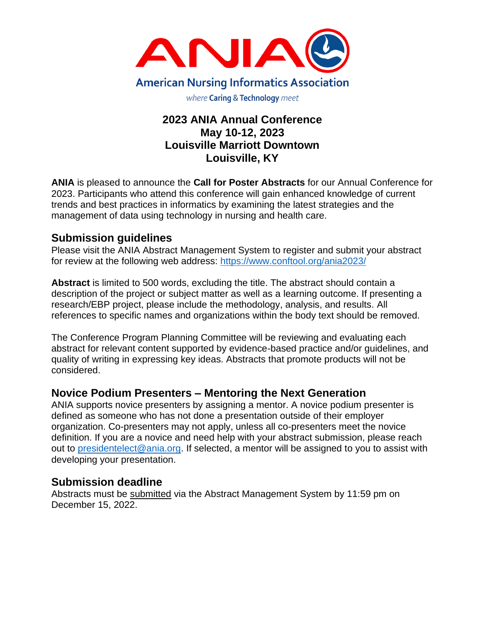

# **2023 ANIA Annual Conference May 10-12, 2023 Louisville Marriott Downtown Louisville, KY**

**ANIA** is pleased to announce the **Call for Poster Abstracts** for our Annual Conference for 2023. Participants who attend this conference will gain enhanced knowledge of current trends and best practices in informatics by examining the latest strategies and the management of data using technology in nursing and health care.

## **Submission guidelines**

Please visit the ANIA Abstract Management System to register and submit your abstract for review at the following web address:<https://www.conftool.org/ania2023/>

**Abstract** is limited to 500 words, excluding the title. The abstract should contain a description of the project or subject matter as well as a learning outcome. If presenting a research/EBP project, please include the methodology, analysis, and results. All references to specific names and organizations within the body text should be removed.

The Conference Program Planning Committee will be reviewing and evaluating each abstract for relevant content supported by evidence-based practice and/or guidelines, and quality of writing in expressing key ideas. Abstracts that promote products will not be considered.

## **Novice Podium Presenters – Mentoring the Next Generation**

ANIA supports novice presenters by assigning a mentor. A novice podium presenter is defined as someone who has not done a presentation outside of their employer organization. Co-presenters may not apply, unless all co-presenters meet the novice definition. If you are a novice and need help with your abstract submission, please reach out to [presidentelect@ania.org.](mailto:presidentelect@ania.org) If selected, a mentor will be assigned to you to assist with developing your presentation.

## **Submission deadline**

Abstracts must be submitted via the Abstract Management System by 11:59 pm on December 15, 2022.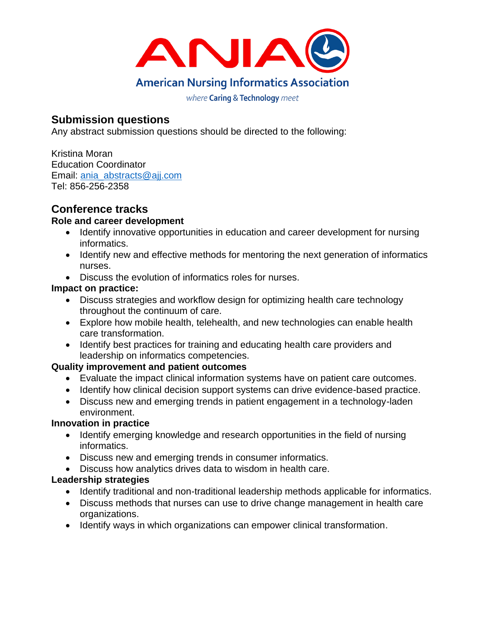

# **Submission questions**

Any abstract submission questions should be directed to the following:

Kristina Moran Education Coordinator Email: ania\_abstracts@aij.com Tel: 856-256-2358

# **Conference tracks**

#### **Role and career development**

- Identify innovative opportunities in education and career development for nursing informatics.
- Identify new and effective methods for mentoring the next generation of informatics nurses.
- Discuss the evolution of informatics roles for nurses.

#### **Impact on practice:**

- Discuss strategies and workflow design for optimizing health care technology throughout the continuum of care.
- Explore how mobile health, telehealth, and new technologies can enable health care transformation.
- Identify best practices for training and educating health care providers and leadership on informatics competencies.

### **Quality improvement and patient outcomes**

- Evaluate the impact clinical information systems have on patient care outcomes.
- Identify how clinical decision support systems can drive evidence-based practice.
- Discuss new and emerging trends in patient engagement in a technology-laden environment.

#### **Innovation in practice**

- Identify emerging knowledge and research opportunities in the field of nursing informatics.
- Discuss new and emerging trends in consumer informatics.
- Discuss how analytics drives data to wisdom in health care.

### **Leadership strategies**

- Identify traditional and non-traditional leadership methods applicable for informatics.
- Discuss methods that nurses can use to drive change management in health care organizations.
- Identify ways in which organizations can empower clinical transformation.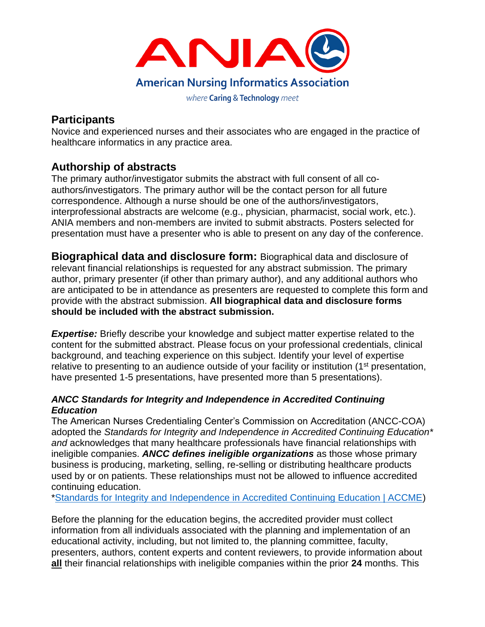

# **Participants**

Novice and experienced nurses and their associates who are engaged in the practice of healthcare informatics in any practice area.

# **Authorship of abstracts**

The primary author/investigator submits the abstract with full consent of all coauthors/investigators. The primary author will be the contact person for all future correspondence. Although a nurse should be one of the authors/investigators, interprofessional abstracts are welcome (e.g., physician, pharmacist, social work, etc.). ANIA members and non-members are invited to submit abstracts. Posters selected for presentation must have a presenter who is able to present on any day of the conference.

**Biographical data and disclosure form:** Biographical data and disclosure of relevant financial relationships is requested for any abstract submission. The primary author, primary presenter (if other than primary author), and any additional authors who are anticipated to be in attendance as presenters are requested to complete this form and provide with the abstract submission. **All biographical data and disclosure forms should be included with the abstract submission.** 

**Expertise:** Briefly describe your knowledge and subject matter expertise related to the content for the submitted abstract. Please focus on your professional credentials, clinical background, and teaching experience on this subject. Identify your level of expertise relative to presenting to an audience outside of your facility or institution (1<sup>st</sup> presentation, have presented 1-5 presentations, have presented more than 5 presentations).

#### *ANCC Standards for Integrity and Independence in Accredited Continuing Education*

The American Nurses Credentialing Center's Commission on Accreditation (ANCC-COA) adopted the *Standards for Integrity and Independence in Accredited Continuing Education\* and* acknowledges that many healthcare professionals have financial relationships with ineligible companies. *ANCC defines ineligible organizations* as those whose primary business is producing, marketing, selling, re-selling or distributing healthcare products used by or on patients. These relationships must not be allowed to influence accredited continuing education.

[\\*Standards for Integrity and Independence in Accredited Continuing Education | ACCME\)](https://accme.org/accreditation-rules/standards-for-integrity-independence-accredited-ce)

Before the planning for the education begins, the accredited provider must collect information from all individuals associated with the planning and implementation of an educational activity, including, but not limited to, the planning committee, faculty, presenters, authors, content experts and content reviewers, to provide information about **all** their financial relationships with ineligible companies within the prior **24** months. This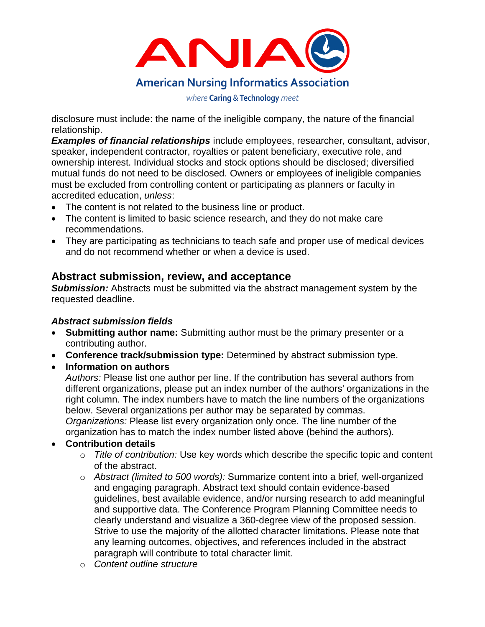

disclosure must include: the name of the ineligible company, the nature of the financial relationship.

*Examples of financial relationships* include employees, researcher, consultant, advisor, speaker, independent contractor, royalties or patent beneficiary, executive role, and ownership interest. Individual stocks and stock options should be disclosed; diversified mutual funds do not need to be disclosed. Owners or employees of ineligible companies must be excluded from controlling content or participating as planners or faculty in accredited education, *unless*:

- The content is not related to the business line or product.
- The content is limited to basic science research, and they do not make care recommendations.
- They are participating as technicians to teach safe and proper use of medical devices and do not recommend whether or when a device is used.

## **Abstract submission, review, and acceptance**

**Submission:** Abstracts must be submitted via the abstract management system by the requested deadline.

### *Abstract submission fields*

- **Submitting author name:** Submitting author must be the primary presenter or a contributing author.
- **Conference track/submission type:** Determined by abstract submission type.
- **Information on authors**

*Authors:* Please list one author per line. If the contribution has several authors from different organizations, please put an index number of the authors' organizations in the right column. The index numbers have to match the line numbers of the organizations below. Several organizations per author may be separated by commas. *Organizations:* Please list every organization only once. The line number of the organization has to match the index number listed above (behind the authors).

### • **Contribution details**

- o *Title of contribution:* Use key words which describe the specific topic and content of the abstract.
- o *Abstract (limited to 500 words):* Summarize content into a brief, well-organized and engaging paragraph. Abstract text should contain evidence-based guidelines, best available evidence, and/or nursing research to add meaningful and supportive data. The Conference Program Planning Committee needs to clearly understand and visualize a 360-degree view of the proposed session. Strive to use the majority of the allotted character limitations. Please note that any learning outcomes, objectives, and references included in the abstract paragraph will contribute to total character limit.
- o *Content outline structure*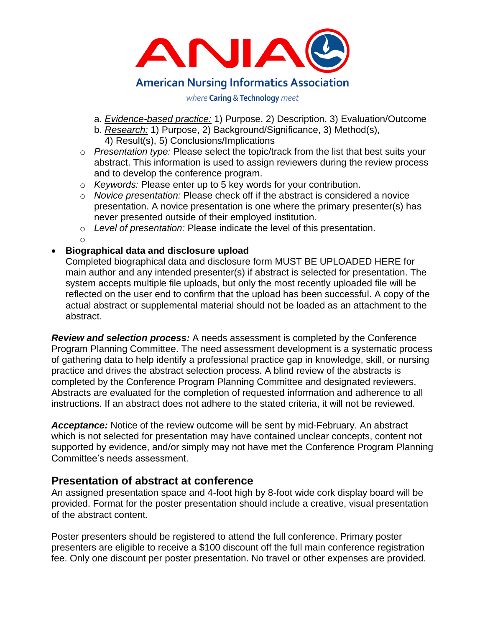

- a. *Evidence-based practice:* 1) Purpose, 2) Description, 3) Evaluation/Outcome
- b. *Research:* 1) Purpose, 2) Background/Significance, 3) Method(s), 4) Result(s), 5) Conclusions/Implications
- o *Presentation type:* Please select the topic/track from the list that best suits your abstract. This information is used to assign reviewers during the review process and to develop the conference program.
- o *Keywords:* Please enter up to 5 key words for your contribution.
- o *Novice presentation:* Please check off if the abstract is considered a novice presentation. A novice presentation is one where the primary presenter(s) has never presented outside of their employed institution.
- o *Level of presentation:* Please indicate the level of this presentation.
- o

#### • **Biographical data and disclosure upload**

Completed biographical data and disclosure form MUST BE UPLOADED HERE for main author and any intended presenter(s) if abstract is selected for presentation. The system accepts multiple file uploads, but only the most recently uploaded file will be reflected on the user end to confirm that the upload has been successful. A copy of the actual abstract or supplemental material should not be loaded as an attachment to the abstract.

*Review and selection process:* A needs assessment is completed by the Conference Program Planning Committee. The need assessment development is a systematic process of gathering data to help identify a professional practice gap in knowledge, skill, or nursing practice and drives the abstract selection process. A blind review of the abstracts is completed by the Conference Program Planning Committee and designated reviewers. Abstracts are evaluated for the completion of requested information and adherence to all instructions. If an abstract does not adhere to the stated criteria, it will not be reviewed.

*Acceptance:* Notice of the review outcome will be sent by mid-February. An abstract which is not selected for presentation may have contained unclear concepts, content not supported by evidence, and/or simply may not have met the Conference Program Planning Committee's needs assessment.

### **Presentation of abstract at conference**

An assigned presentation space and 4-foot high by 8-foot wide cork display board will be provided. Format for the poster presentation should include a creative, visual presentation of the abstract content.

Poster presenters should be registered to attend the full conference. Primary poster presenters are eligible to receive a \$100 discount off the full main conference registration fee. Only one discount per poster presentation. No travel or other expenses are provided.